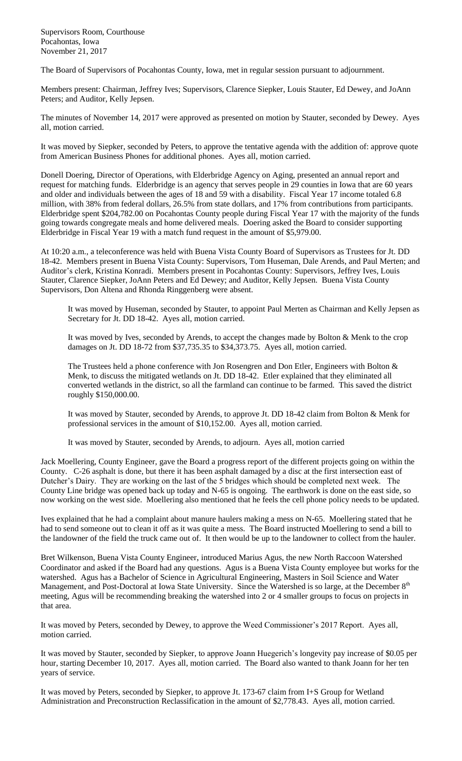Supervisors Room, Courthouse Pocahontas, Iowa November 21, 2017

The Board of Supervisors of Pocahontas County, Iowa, met in regular session pursuant to adjournment.

Members present: Chairman, Jeffrey Ives; Supervisors, Clarence Siepker, Louis Stauter, Ed Dewey, and JoAnn Peters; and Auditor, Kelly Jepsen.

The minutes of November 14, 2017 were approved as presented on motion by Stauter, seconded by Dewey. Ayes all, motion carried.

It was moved by Siepker, seconded by Peters, to approve the tentative agenda with the addition of: approve quote from American Business Phones for additional phones. Ayes all, motion carried.

Donell Doering, Director of Operations, with Elderbridge Agency on Aging, presented an annual report and request for matching funds. Elderbridge is an agency that serves people in 29 counties in Iowa that are 60 years and older and individuals between the ages of 18 and 59 with a disability. Fiscal Year 17 income totaled 6.8 million, with 38% from federal dollars, 26.5% from state dollars, and 17% from contributions from participants. Elderbridge spent \$204,782.00 on Pocahontas County people during Fiscal Year 17 with the majority of the funds going towards congregate meals and home delivered meals. Doering asked the Board to consider supporting Elderbridge in Fiscal Year 19 with a match fund request in the amount of \$5,979.00.

At 10:20 a.m., a teleconference was held with Buena Vista County Board of Supervisors as Trustees for Jt. DD 18-42. Members present in Buena Vista County: Supervisors, Tom Huseman, Dale Arends, and Paul Merten; and Auditor's clerk, Kristina Konradi. Members present in Pocahontas County: Supervisors, Jeffrey Ives, Louis Stauter, Clarence Siepker, JoAnn Peters and Ed Dewey; and Auditor, Kelly Jepsen. Buena Vista County Supervisors, Don Altena and Rhonda Ringgenberg were absent.

It was moved by Huseman, seconded by Stauter, to appoint Paul Merten as Chairman and Kelly Jepsen as Secretary for Jt. DD 18-42. Ayes all, motion carried.

It was moved by Ives, seconded by Arends, to accept the changes made by Bolton & Menk to the crop damages on Jt. DD 18-72 from \$37,735.35 to \$34,373.75. Ayes all, motion carried.

The Trustees held a phone conference with Jon Rosengren and Don Etler, Engineers with Bolton & Menk, to discuss the mitigated wetlands on Jt. DD 18-42. Etler explained that they eliminated all converted wetlands in the district, so all the farmland can continue to be farmed. This saved the district roughly \$150,000.00.

It was moved by Stauter, seconded by Arends, to approve Jt. DD 18-42 claim from Bolton & Menk for professional services in the amount of \$10,152.00. Ayes all, motion carried.

It was moved by Stauter, seconded by Arends, to adjourn. Ayes all, motion carried

Jack Moellering, County Engineer, gave the Board a progress report of the different projects going on within the County. C-26 asphalt is done, but there it has been asphalt damaged by a disc at the first intersection east of Dutcher's Dairy. They are working on the last of the 5 bridges which should be completed next week. The County Line bridge was opened back up today and N-65 is ongoing. The earthwork is done on the east side, so now working on the west side. Moellering also mentioned that he feels the cell phone policy needs to be updated.

Ives explained that he had a complaint about manure haulers making a mess on N-65. Moellering stated that he had to send someone out to clean it off as it was quite a mess. The Board instructed Moellering to send a bill to the landowner of the field the truck came out of. It then would be up to the landowner to collect from the hauler.

Bret Wilkenson, Buena Vista County Engineer, introduced Marius Agus, the new North Raccoon Watershed Coordinator and asked if the Board had any questions. Agus is a Buena Vista County employee but works for the watershed. Agus has a Bachelor of Science in Agricultural Engineering, Masters in Soil Science and Water Management, and Post-Doctoral at Iowa State University. Since the Watershed is so large, at the December 8<sup>th</sup> meeting, Agus will be recommending breaking the watershed into 2 or 4 smaller groups to focus on projects in that area.

It was moved by Peters, seconded by Dewey, to approve the Weed Commissioner's 2017 Report. Ayes all, motion carried.

It was moved by Stauter, seconded by Siepker, to approve Joann Huegerich's longevity pay increase of \$0.05 per hour, starting December 10, 2017. Ayes all, motion carried. The Board also wanted to thank Joann for her ten years of service.

It was moved by Peters, seconded by Siepker, to approve Jt. 173-67 claim from I+S Group for Wetland Administration and Preconstruction Reclassification in the amount of \$2,778.43. Ayes all, motion carried.